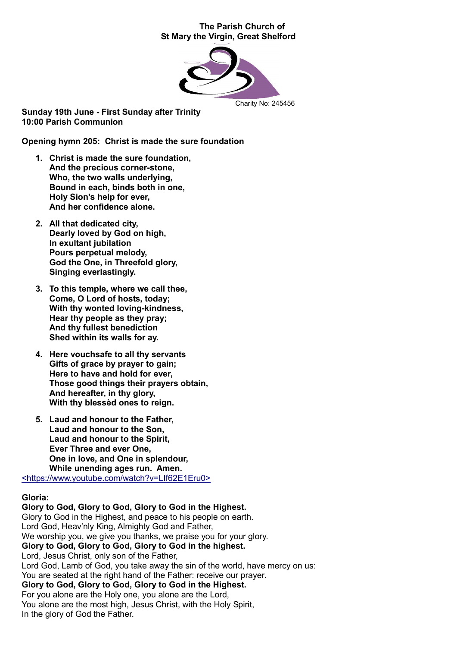#### The Parish Church of St Mary the Virgin, Great Shelford



Sunday 19th June - First Sunday after Trinity 10:00 Parish Communion

Opening hymn 205: Christ is made the sure foundation

- 1. Christ is made the sure foundation, And the precious corner-stone, Who, the two walls underlying, Bound in each, binds both in one, Holy Sion's help for ever, And her confidence alone.
- 2. All that dedicated city, Dearly loved by God on high, In exultant jubilation Pours perpetual melody, God the One, in Threefold glory, Singing everlastingly.
- 3. To this temple, where we call thee, Come, O Lord of hosts, today; With thy wonted loving-kindness. Hear thy people as they pray; And thy fullest benediction Shed within its walls for ay.
- 4. Here vouchsafe to all thy servants Gifts of grace by prayer to gain; Here to have and hold for ever, Those good things their prayers obtain, And hereafter, in thy glory, With thy blessèd ones to reign.
- 5. Laud and honour to the Father, Laud and honour to the Son, Laud and honour to the Spirit, Ever Three and ever One, One in love, and One in splendour, While unending ages run. Amen.

<https://www.youtube.com/watch?v=LIf62E1Eru0>

#### Gloria:

Glory to God, Glory to God, Glory to God in the Highest. Glory to God in the Highest, and peace to his people on earth. Lord God, Heav'nly King, Almighty God and Father, We worship you, we give you thanks, we praise you for your glory. Glory to God, Glory to God, Glory to God in the highest. Lord, Jesus Christ, only son of the Father, Lord God, Lamb of God, you take away the sin of the world, have mercy on us: You are seated at the right hand of the Father: receive our prayer. Glory to God, Glory to God, Glory to God in the Highest. For you alone are the Holy one, you alone are the Lord, You alone are the most high, Jesus Christ, with the Holy Spirit, In the glory of God the Father.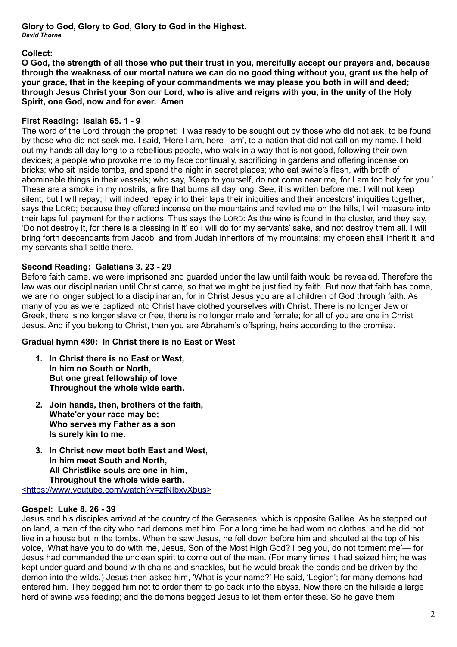Glory to God, Glory to God, Glory to God in the Highest. *David Thorne*

Collect:

O God, the strength of all those who put their trust in you, mercifully accept our prayers and, because through the weakness of our mortal nature we can do no good thing without you, grant us the help of your grace, that in the keeping of your commandments we may please you both in will and deed; through Jesus Christ your Son our Lord, who is alive and reigns with you, in the unity of the Holy Spirit, one God, now and for ever. Amen

# First Reading: Isaiah 65. 1 - 9

The word of the Lord through the prophet: I was ready to be sought out by those who did not ask, to be found by those who did not seek me. I said, 'Here I am, here I am', to a nation that did not call on my name. I held out my hands all day long to a rebellious people, who walk in a way that is not good, following their own devices; a people who provoke me to my face continually, sacrificing in gardens and offering incense on bricks; who sit inside tombs, and spend the night in secret places; who eat swine's flesh, with broth of abominable things in their vessels; who say, 'Keep to yourself, do not come near me, for I am too holy for you.' These are a smoke in my nostrils, a fire that burns all day long. See, it is written before me: I will not keep silent, but I will repay; I will indeed repay into their laps their iniquities and their ancestors' iniquities together, says the LORD; because they offered incense on the mountains and reviled me on the hills, I will measure into their laps full payment for their actions. Thus says the LORD: As the wine is found in the cluster, and they say, 'Do not destroy it, for there is a blessing in it' so I will do for my servants' sake, and not destroy them all. I will bring forth descendants from Jacob, and from Judah inheritors of my mountains; my chosen shall inherit it, and my servants shall settle there.

# Second Reading: Galatians 3. 23 - 29

Before faith came, we were imprisoned and guarded under the law until faith would be revealed. Therefore the law was our disciplinarian until Christ came, so that we might be justified by faith. But now that faith has come, we are no longer subject to a disciplinarian, for in Christ Jesus you are all children of God through faith. As many of you as were baptized into Christ have clothed yourselves with Christ. There is no longer Jew or Greek, there is no longer slave or free, there is no longer male and female; for all of you are one in Christ Jesus. And if you belong to Christ, then you are Abraham's offspring, heirs according to the promise.

# Gradual hymn 480: In Christ there is no East or West

- 1. In Christ there is no East or West, In him no South or North, But one great fellowship of love Throughout the whole wide earth.
- 2. Join hands, then, brothers of the faith, Whate'er your race may be; Who serves my Father as a son Is surely kin to me.
- 3. In Christ now meet both East and West, In him meet South and North, All Christlike souls are one in him, Throughout the whole wide earth. <https://www.youtube.com/watch?v=zfNIbxvXbus>

#### Gospel: Luke 8. 26 - 39

Jesus and his disciples arrived at the country of the Gerasenes, which is opposite Galilee. As he stepped out on land, a man of the city who had demons met him. For a long time he had worn no clothes, and he did not live in a house but in the tombs. When he saw Jesus, he fell down before him and shouted at the top of his voice, 'What have you to do with me, Jesus, Son of the Most High God? I beg you, do not torment me'— for Jesus had commanded the unclean spirit to come out of the man. (For many times it had seized him; he was kept under guard and bound with chains and shackles, but he would break the bonds and be driven by the demon into the wilds.) Jesus then asked him, 'What is your name?' He said, 'Legion'; for many demons had entered him. They begged him not to order them to go back into the abyss. Now there on the hillside a large herd of swine was feeding; and the demons begged Jesus to let them enter these. So he gave them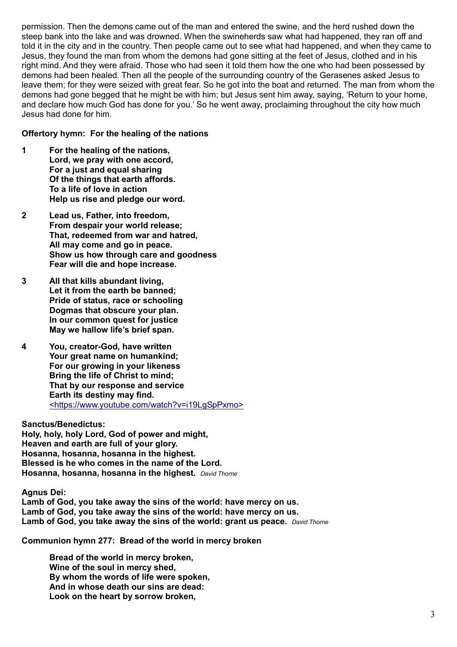permission. Then the demons came out of the man and entered the swine, and the herd rushed down the steep bank into the lake and was drowned. When the swineherds saw what had happened, they ran off and told it in the city and in the country. Then people came out to see what had happened, and when they came to Jesus, they found the man from whom the demons had gone sitting at the feet of Jesus, clothed and in his right mind. And they were afraid. Those who had seen it told them how the one who had been possessed by demons had been healed. Then all the people of the surrounding country of the Gerasenes asked Jesus to leave them; for they were seized with great fear. So he got into the boat and returned. The man from whom the demons had gone begged that he might be with him; but Jesus sent him away, saying, 'Return to your home, and declare how much God has done for you.' So he went away, proclaiming throughout the city how much Jesus had done for him.

#### Offertory hymn: For the healing of the nations

- 1 For the healing of the nations, Lord, we pray with one accord, For a just and equal sharing Of the things that earth affords. To a life of love in action Help us rise and pledge our word.
- 2 Lead us, Father, into freedom, From despair your world release; That, redeemed from war and hatred, All may come and go in peace. Show us how through care and goodness Fear will die and hope increase.
- 3 All that kills abundant living, Let it from the earth be banned; Pride of status, race or schooling Dogmas that obscure your plan. In our common quest for justice May we hallow life's brief span.
- 4 You, creator-God, have written Your great name on humankind; For our growing in your likeness Bring the life of Christ to mind; That by our response and service Earth its destiny may find. <https://www.youtube.com/watch?v=i19LgSpPxmo>

#### Sanctus/Benedictus:

Holy, holy, holy Lord, God of power and might, Heaven and earth are full of your glory. Hosanna, hosanna, hosanna in the highest. Blessed is he who comes in the name of the Lord. Hosanna, hosanna, hosanna in the highest. *David Thorne*

Agnus Dei:

Lamb of God, you take away the sins of the world: have mercy on us. Lamb of God, you take away the sins of the world: have mercy on us. Lamb of God, you take away the sins of the world: grant us peace. *David Thorne*

Communion hymn 277: Bread of the world in mercy broken

Bread of the world in mercy broken, Wine of the soul in mercy shed, By whom the words of life were spoken, And in whose death our sins are dead: Look on the heart by sorrow broken,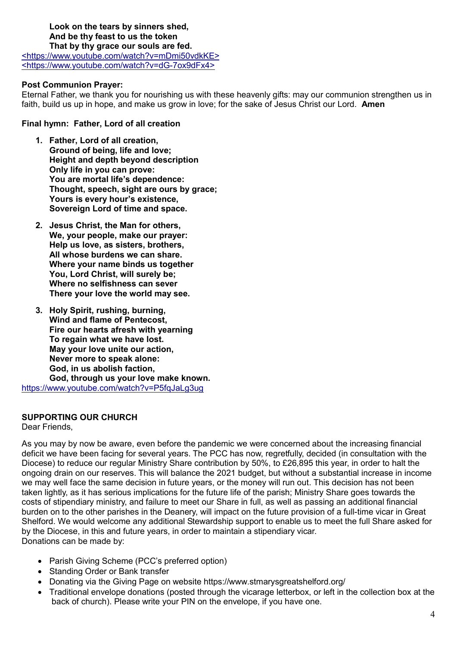#### Look on the tears by sinners shed, And be thy feast to us the token That by thy grace our souls are fed.

<https://www.youtube.com/watch?v=mDmi50vdkKE> <https://www.youtube.com/watch?v=dG-7ox9dFx4>

### Post Communion Prayer:

Eternal Father, we thank you for nourishing us with these heavenly gifts: may our communion strengthen us in faith, build us up in hope, and make us grow in love; for the sake of Jesus Christ our Lord. Amen

### Final hymn: Father, Lord of all creation

- 1. Father, Lord of all creation, Ground of being, life and love; Height and depth beyond description Only life in you can prove: You are mortal life's dependence: Thought, speech, sight are ours by grace; Yours is every hour's existence, Sovereign Lord of time and space.
- 2. Jesus Christ, the Man for others, We, your people, make our praver: Help us love, as sisters, brothers, All whose burdens we can share. Where your name binds us together You, Lord Christ, will surely be; Where no selfishness can sever There your love the world may see.
- 3. Holy Spirit, rushing, burning, Wind and flame of Pentecost, Fire our hearts afresh with yearning To regain what we have lost. May your love unite our action, Never more to speak alone: God, in us abolish faction, God, through us your love make known. https://www.youtube.com/watch?v=P5fqJaLg3ug

#### SUPPORTING OUR CHURCH

Dear Friends,

As you may by now be aware, even before the pandemic we were concerned about the increasing financial deficit we have been facing for several years. The PCC has now, regretfully, decided (in consultation with the Diocese) to reduce our regular Ministry Share contribution by 50%, to £26,895 this year, in order to halt the ongoing drain on our reserves. This will balance the 2021 budget, but without a substantial increase in income we may well face the same decision in future years, or the money will run out. This decision has not been taken lightly, as it has serious implications for the future life of the parish; Ministry Share goes towards the costs of stipendiary ministry, and failure to meet our Share in full, as well as passing an additional financial burden on to the other parishes in the Deanery, will impact on the future provision of a full-time vicar in Great Shelford. We would welcome any additional Stewardship support to enable us to meet the full Share asked for by the Diocese, in this and future years, in order to maintain a stipendiary vicar. Donations can be made by:

- Parish Giving Scheme (PCC's preferred option)
- Standing Order or Bank transfer
- Donating via the Giving Page on website https://www.stmarysgreatshelford.org/
- Traditional envelope donations (posted through the vicarage letterbox, or left in the collection box at the back of church). Please write your PIN on the envelope, if you have one.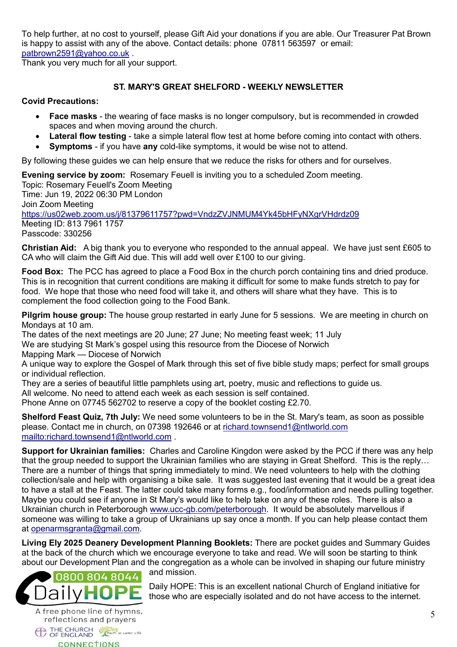To help further, at no cost to yourself, please Gift Aid your donations if you are able. Our Treasurer Pat Brown is happy to assist with any of the above. Contact details: phone 07811 563597 or email: [patbrown2591@yahoo.co.uk](mailto:patbrown2591@yahoo.co.uk) .

Thank you very much for all your support.

# ST. MARY'S GREAT SHELFORD - WEEKLY NEWSLETTER

### Covid Precautions:

- Face masks the wearing of face masks is no longer compulsory, but is recommended in crowded spaces and when moving around the church.
- Lateral flow testing take a simple lateral flow test at home before coming into contact with others.
- Symptoms if you have any cold-like symptoms, it would be wise not to attend.

By following these guides we can help ensure that we reduce the risks for others and for ourselves.

Evening service by zoom: Rosemary Feuell is inviting you to a scheduled Zoom meeting.

Topic: Rosemary Feuell's Zoom Meeting Time: Jun 19, 2022 06:30 PM London Join Zoom Meeting https://us02web.zoom.us/j/81379611757?pwd=VndzZVJNMUM4Yk45bHFyNXgrVHdrdz09 Meeting ID: 813 7961 1757 Passcode: 330256

Christian Aid: A big thank you to everyone who responded to the annual appeal. We have just sent £605 to CA who will claim the Gift Aid due. This will add well over £100 to our giving.

Food Box: The PCC has agreed to place a Food Box in the church porch containing tins and dried produce. This is in recognition that current conditions are making it difficult for some to make funds stretch to pay for food. We hope that those who need food will take it, and others will share what they have. This is to complement the food collection going to the Food Bank.

**Pilgrim house group:** The house group restarted in early June for 5 sessions. We are meeting in church on Mondays at 10 am.

The dates of the next meetings are 20 June; 27 June; No meeting feast week; 11 July

We are studying St Mark's gospel using this resource from the Diocese of Norwich

Mapping Mark — Diocese of Norwich

A unique way to explore the Gospel of Mark through this set of five bible study maps; perfect for small groups or individual reflection.

They are a series of beautiful little pamphlets using art, poetry, music and reflections to guide us.

All welcome. No need to attend each week as each session is self contained.

Phone Anne on 07745 562702 to reserve a copy of the booklet costing £2.70.

Shelford Feast Quiz, 7th July: We need some volunteers to be in the St. Mary's team, as soon as possible please. Contact me in church, on 07398 192646 or at [richard.townsend1@ntlworld.com](mailto:richard.townsend1@ntlworld.com) <mailto:richard.townsend1@ntlworld.com> .

Support for Ukrainian families: Charles and Caroline Kingdon were asked by the PCC if there was any help that the group needed to support the Ukrainian families who are staying in Great Shelford. This is the reply… There are a number of things that spring immediately to mind. We need volunteers to help with the clothing collection/sale and help with organising a bike sale. It was suggested last evening that it would be a great idea to have a stall at the Feast. The latter could take many forms e.g., food/information and needs pulling together. Maybe you could see if anyone in St Mary's would like to help take on any of these roles. There is also a Ukrainian church in Peterborough [www.ucc-gb.com/peterborough](http://www.ucc-gb.com/peterborough). It would be absolutely marvellous if someone was willing to take a group of Ukrainians up say once a month. If you can help please contact them at [openarmsgranta@gmail.com](mailto:openarmsgranta@gmail.com).

Living Ely 2025 Deanery Development Planning Booklets: There are pocket guides and Summary Guides at the back of the church which we encourage everyone to take and read. We will soon be starting to think about our Development Plan and the congregation as a whole can be involved in shaping our future ministry



reflections and prayers THE CHURCH **Start in Later Life CONNECTIONS** 

and mission.

Daily HOPE: This is an excellent national Church of England initiative for those who are especially isolated and do not have access to the internet.